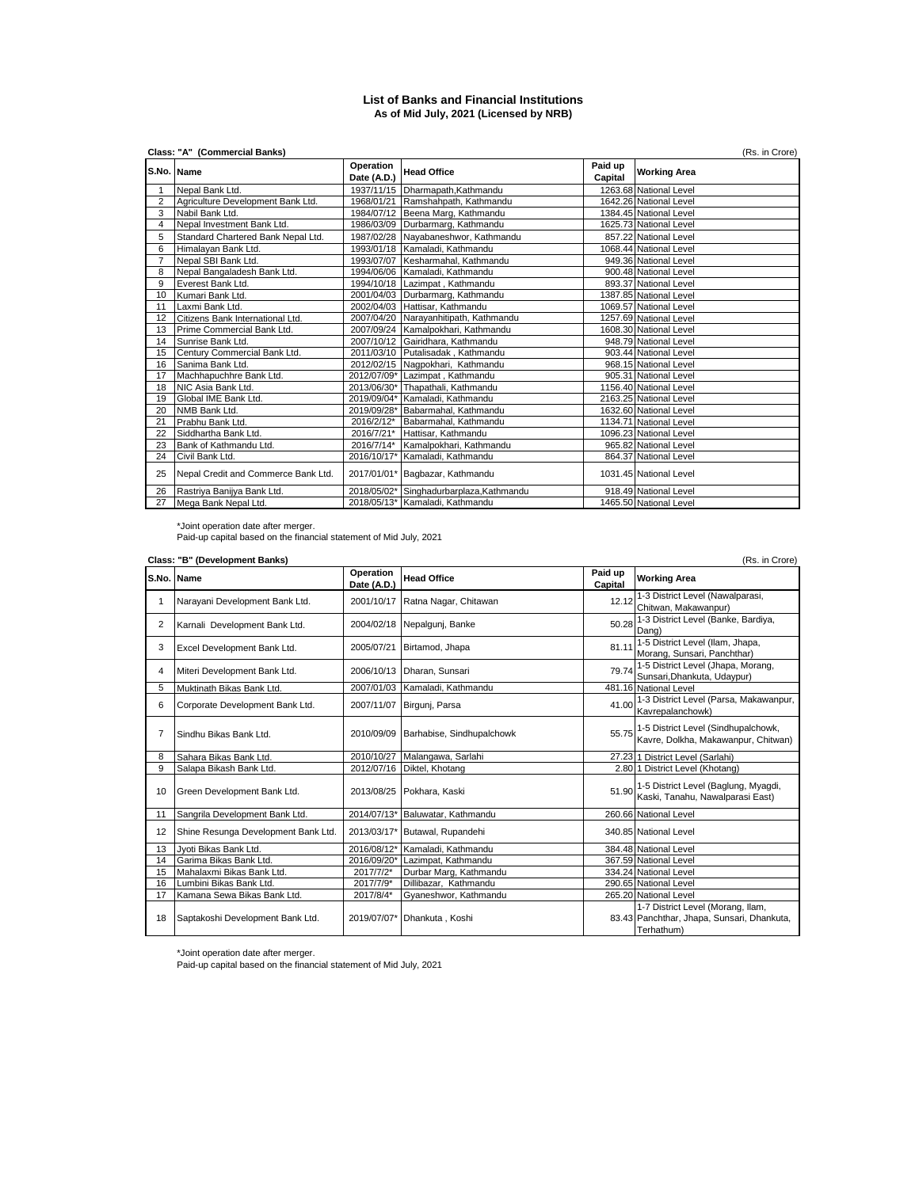## **List of Banks and Financial Institutions As of Mid July, 2021 (Licensed by NRB)**

|                | Class: "A" (Commercial Banks)<br>(Rs. in Crore) |                          |                                          |                    |                        |  |  |
|----------------|-------------------------------------------------|--------------------------|------------------------------------------|--------------------|------------------------|--|--|
|                | S.No. Name                                      | Operation<br>Date (A.D.) | <b>Head Office</b>                       | Paid up<br>Capital | <b>Working Area</b>    |  |  |
|                | Nepal Bank Ltd.                                 |                          | 1937/11/15 Dharmapath, Kathmandu         |                    | 1263.68 National Level |  |  |
| $\overline{2}$ | Agriculture Development Bank Ltd.               |                          | 1968/01/21 Ramshahpath, Kathmandu        |                    | 1642.26 National Level |  |  |
| 3              | Nabil Bank Ltd.                                 |                          | 1984/07/12 Beena Marg, Kathmandu         |                    | 1384.45 National Level |  |  |
| 4              | Nepal Investment Bank Ltd.                      |                          | 1986/03/09 Durbarmarg, Kathmandu         |                    | 1625.73 National Level |  |  |
| 5              | Standard Chartered Bank Nepal Ltd.              |                          | 1987/02/28 Nayabaneshwor, Kathmandu      |                    | 857.22 National Level  |  |  |
| 6              | Himalayan Bank Ltd.                             |                          | 1993/01/18 Kamaladi, Kathmandu           |                    | 1068.44 National Level |  |  |
| $\overline{7}$ | Nepal SBI Bank Ltd.                             |                          | 1993/07/07 Kesharmahal, Kathmandu        |                    | 949.36 National Level  |  |  |
| 8              | Nepal Bangaladesh Bank Ltd.                     |                          | 1994/06/06 Kamaladi, Kathmandu           |                    | 900.48 National Level  |  |  |
| 9              | Everest Bank Ltd.                               |                          | 1994/10/18 Lazimpat, Kathmandu           |                    | 893.37 National Level  |  |  |
| 10             | Kumari Bank Ltd.                                |                          | 2001/04/03 Durbarmarg, Kathmandu         |                    | 1387.85 National Level |  |  |
| 11             | Laxmi Bank Ltd.                                 |                          | 2002/04/03 Hattisar, Kathmandu           |                    | 1069.57 National Level |  |  |
| 12             | Citizens Bank International Ltd.                |                          | 2007/04/20 Narayanhitipath, Kathmandu    |                    | 1257.69 National Level |  |  |
| 13             | Prime Commercial Bank Ltd.                      |                          | 2007/09/24 Kamalpokhari, Kathmandu       |                    | 1608.30 National Level |  |  |
| 14             | Sunrise Bank Ltd.                               |                          | 2007/10/12 Gairidhara, Kathmandu         |                    | 948.79 National Level  |  |  |
| 15             | Century Commercial Bank Ltd.                    |                          | 2011/03/10 Putalisadak, Kathmandu        |                    | 903.44 National Level  |  |  |
| 16             | Sanima Bank Ltd.                                |                          | 2012/02/15 Nagpokhari, Kathmandu         |                    | 968.15 National Level  |  |  |
| 17             | Machhapuchhre Bank Ltd.                         |                          | 2012/07/09* Lazimpat, Kathmandu          |                    | 905.31 National Level  |  |  |
| 18             | NIC Asia Bank Ltd.                              |                          | 2013/06/30* Thapathali, Kathmandu        |                    | 1156.40 National Level |  |  |
| 19             | Global IME Bank Ltd.                            |                          | 2019/09/04* Kamaladi, Kathmandu          |                    | 2163.25 National Level |  |  |
| 20             | NMB Bank Ltd.                                   |                          | 2019/09/28* Babarmahal, Kathmandu        |                    | 1632.60 National Level |  |  |
| 21             | Prabhu Bank Ltd.                                | 2016/2/12*               | Babarmahal, Kathmandu                    |                    | 1134.71 National Level |  |  |
| 22             | Siddhartha Bank Ltd.                            |                          | 2016/7/21* Hattisar, Kathmandu           |                    | 1096.23 National Level |  |  |
| 23             | Bank of Kathmandu Ltd.                          |                          | 2016/7/14* Kamalpokhari, Kathmandu       |                    | 965.82 National Level  |  |  |
| 24             | Civil Bank Ltd.                                 |                          | 2016/10/17* Kamaladi, Kathmandu          |                    | 864.37 National Level  |  |  |
| 25             | Nepal Credit and Commerce Bank Ltd.             |                          | 2017/01/01* Bagbazar, Kathmandu          |                    | 1031.45 National Level |  |  |
| 26             | Rastriya Banijya Bank Ltd.                      |                          | 2018/05/02* Singhadurbarplaza, Kathmandu |                    | 918.49 National Level  |  |  |
| 27             | Mega Bank Nepal Ltd.                            |                          | 2018/05/13* Kamaladi, Kathmandu          |                    | 1465.50 National Level |  |  |

\*Joint operation date after merger. Paid-up capital based on the financial statement of Mid July, 2021

|                | Class: "B" (Development Banks)<br>(Rs. in Crore) |                          |                                |                    |                                                                                               |  |
|----------------|--------------------------------------------------|--------------------------|--------------------------------|--------------------|-----------------------------------------------------------------------------------------------|--|
|                | S.No. Name                                       | Operation<br>Date (A.D.) | <b>Head Office</b>             | Paid up<br>Capital | <b>Working Area</b>                                                                           |  |
| 1              | Narayani Development Bank Ltd.                   | 2001/10/17               | Ratna Nagar, Chitawan          | 12.12              | 1-3 District Level (Nawalparasi,<br>Chitwan, Makawanpur)                                      |  |
| $\overline{2}$ | Karnali Development Bank Ltd.                    | 2004/02/18               | Nepalgunj, Banke               | 50.28              | 1-3 District Level (Banke, Bardiya,<br>Dang)                                                  |  |
| 3              | Excel Development Bank Ltd.                      | 2005/07/21               | Birtamod, Jhapa                | 81.11              | 1-5 District Level (Ilam, Jhapa,<br>Morang, Sunsari, Panchthar)                               |  |
| 4              | Miteri Development Bank Ltd.                     | 2006/10/13               | Dharan, Sunsari                | 79.74              | 1-5 District Level (Jhapa, Morang,<br>Sunsari, Dhankuta, Udaypur)                             |  |
| 5              | Muktinath Bikas Bank Ltd.                        | 2007/01/03               | Kamaladi, Kathmandu            |                    | 481.16 National Level                                                                         |  |
| 6              | Corporate Development Bank Ltd.                  | 2007/11/07               | Birguni, Parsa                 | 41.00              | 1-3 District Level (Parsa, Makawanpur,<br>Kavrepalanchowk)                                    |  |
| $\overline{7}$ | Sindhu Bikas Bank Ltd.                           | 2010/09/09               | Barhabise, Sindhupalchowk      | 55.75              | 1-5 District Level (Sindhupalchowk,<br>Kavre, Dolkha, Makawanpur, Chitwan)                    |  |
| 8              | Sahara Bikas Bank Ltd.                           | 2010/10/27               | Malangawa, Sarlahi             |                    | 27.23 1 District Level (Sarlahi)                                                              |  |
| 9              | Salapa Bikash Bank Ltd.                          | 2012/07/16               | Diktel, Khotang                |                    | 2.80 1 District Level (Khotang)                                                               |  |
| 10             | Green Development Bank Ltd.                      | 2013/08/25               | Pokhara, Kaski                 |                    | 51.90 1-5 District Level (Baglung, Myagdi,<br>Kaski, Tanahu, Nawalparasi East)                |  |
| 11             | Sangrila Development Bank Ltd.                   | 2014/07/13*              | Baluwatar, Kathmandu           |                    | 260.66 National Level                                                                         |  |
| 12             | Shine Resunga Development Bank Ltd.              |                          | 2013/03/17* Butawal, Rupandehi |                    | 340.85 National Level                                                                         |  |
| 13             | Jvoti Bikas Bank Ltd.                            | 2016/08/12*              | Kamaladi, Kathmandu            |                    | 384.48 National Level                                                                         |  |
| 14             | Garima Bikas Bank Ltd.                           | 2016/09/20*              | Lazimpat, Kathmandu            |                    | 367.59 National Level                                                                         |  |
| 15             | Mahalaxmi Bikas Bank Ltd.                        | 2017/7/2*                | Durbar Marg, Kathmandu         |                    | 334.24 National Level                                                                         |  |
| 16             | Lumbini Bikas Bank Ltd.                          | 2017/7/9*                | Dillibazar. Kathmandu          |                    | 290.65 National Level                                                                         |  |
| 17             | Kamana Sewa Bikas Bank Ltd.                      | 2017/8/4*                | Gyaneshwor, Kathmandu          |                    | 265.20 National Level                                                                         |  |
| 18             | Saptakoshi Development Bank Ltd.                 | 2019/07/07*              | Dhankuta, Koshi                |                    | 1-7 District Level (Morang, Ilam,<br>83.43 Panchthar, Jhapa, Sunsari, Dhankuta,<br>Terhathum) |  |

\*Joint operation date after merger. Paid-up capital based on the financial statement of Mid July, 2021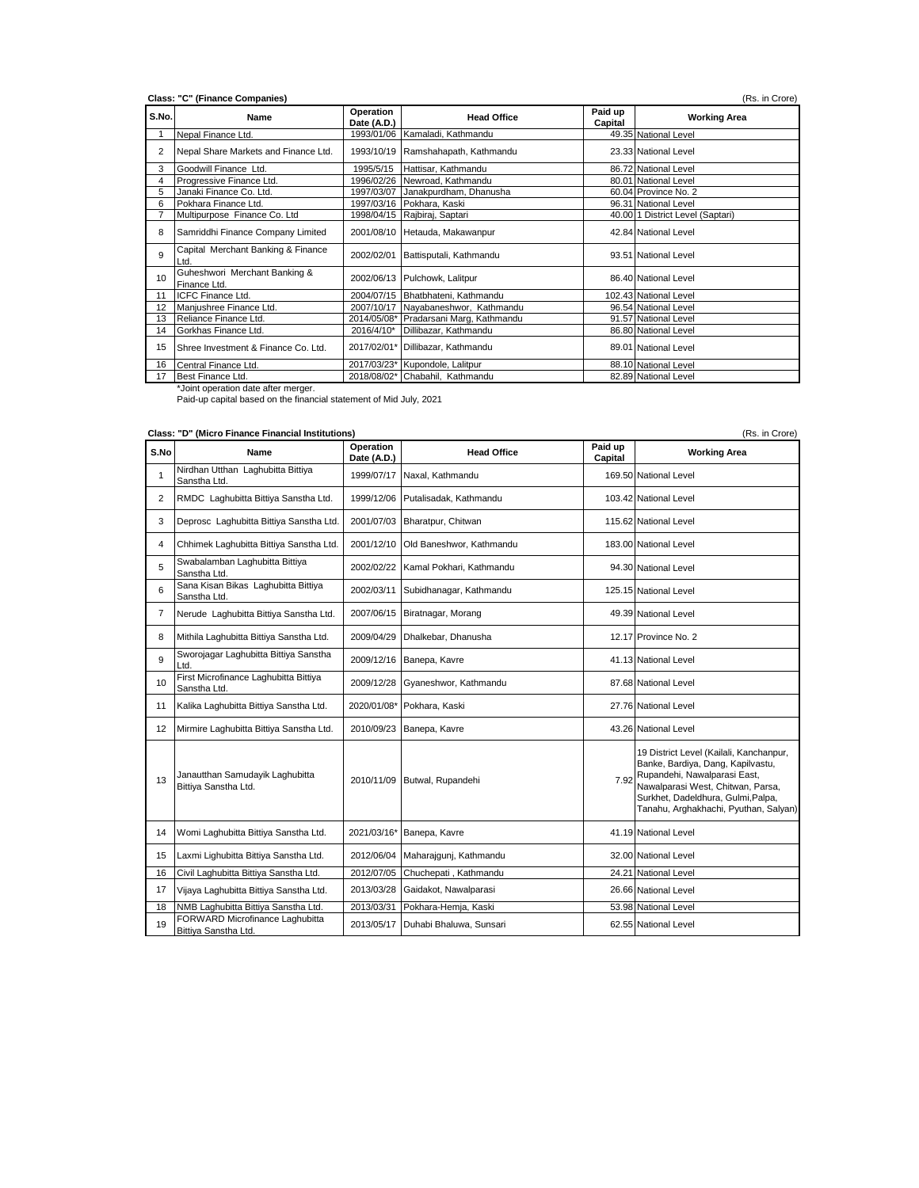| S.No. | Name                                          | Operation<br>Date (A.D.) | <b>Head Office</b>                     | Paid up<br>Capital | <b>Working Area</b>              |
|-------|-----------------------------------------------|--------------------------|----------------------------------------|--------------------|----------------------------------|
|       | Nepal Finance Ltd.                            |                          | 1993/01/06 Kamaladi, Kathmandu         |                    | 49.35 National Level             |
| 2     | Nepal Share Markets and Finance Ltd.          |                          | 1993/10/19 Ramshahapath, Kathmandu     |                    | 23.33 National Level             |
| 3     | Goodwill Finance Ltd.                         | 1995/5/15                | Hattisar, Kathmandu                    |                    | 86.72 National Level             |
| 4     | Progressive Finance Ltd.                      |                          | 1996/02/26 Newroad, Kathmandu          |                    | 80.01 National Level             |
| 5     | Janaki Finance Co. Ltd.                       |                          | 1997/03/07 Janakpurdham, Dhanusha      |                    | 60.04 Province No. 2             |
| 6     | Pokhara Finance Ltd.                          |                          | 1997/03/16 Pokhara, Kaski              |                    | 96.31 National Level             |
|       | Multipurpose Finance Co. Ltd                  |                          | 1998/04/15 Rajbiraj, Saptari           |                    | 40.00 1 District Level (Saptari) |
| 8     | Samriddhi Finance Company Limited             |                          | 2001/08/10 Hetauda, Makawanpur         |                    | 42.84 National Level             |
| 9     | Capital Merchant Banking & Finance<br>Ltd.    | 2002/02/01               | Battisputali, Kathmandu                |                    | 93.51 National Level             |
| 10    | Guheshwori Merchant Banking &<br>Finance Ltd. |                          | 2002/06/13 Pulchowk, Lalitpur          |                    | 86.40 National Level             |
| 11    | ICFC Finance Ltd.                             |                          | 2004/07/15 Bhatbhateni, Kathmandu      |                    | 102.43 National Level            |
| 12    | Manjushree Finance Ltd.                       |                          | 2007/10/17 Nayabaneshwor, Kathmandu    |                    | 96.54 National Level             |
| 13    | Reliance Finance Ltd.                         |                          | 2014/05/08* Pradarsani Marg, Kathmandu |                    | 91.57 National Level             |
| 14    | Gorkhas Finance Ltd.                          | 2016/4/10*               | Dillibazar, Kathmandu                  |                    | 86.80 National Level             |
| 15    | Shree Investment & Finance Co. Ltd.           |                          | 2017/02/01* Dillibazar, Kathmandu      |                    | 89.01 National Level             |
| 16    | Central Finance Ltd.                          |                          | 2017/03/23* Kupondole, Lalitpur        |                    | 88.10 National Level             |
| 17    | Best Finance Ltd.                             |                          | 2018/08/02* Chabahil, Kathmandu        |                    | 82.89 National Level             |

|                | Class: "D" (Micro Finance Financial Institutions)<br>(Rs. in Crore) |                          |                                    |                    |                                                                                                                                                                                                                                       |  |  |
|----------------|---------------------------------------------------------------------|--------------------------|------------------------------------|--------------------|---------------------------------------------------------------------------------------------------------------------------------------------------------------------------------------------------------------------------------------|--|--|
| S.No           | Name                                                                | Operation<br>Date (A.D.) | <b>Head Office</b>                 | Paid up<br>Capital | <b>Working Area</b>                                                                                                                                                                                                                   |  |  |
| $\mathbf{1}$   | Nirdhan Utthan Laghubitta Bittiya<br>Sanstha Ltd.                   |                          | 1999/07/17 Naxal, Kathmandu        |                    | 169.50 National Level                                                                                                                                                                                                                 |  |  |
| 2              | RMDC Laghubitta Bittiya Sanstha Ltd.                                | 1999/12/06               | Putalisadak, Kathmandu             |                    | 103.42 National Level                                                                                                                                                                                                                 |  |  |
| 3              | Deprosc Laghubitta Bittiya Sanstha Ltd.                             | 2001/07/03               | Bharatpur, Chitwan                 |                    | 115.62 National Level                                                                                                                                                                                                                 |  |  |
| 4              | Chhimek Laghubitta Bittiya Sanstha Ltd.                             | 2001/12/10               | Old Baneshwor, Kathmandu           |                    | 183.00 National Level                                                                                                                                                                                                                 |  |  |
| 5              | Swabalamban Laghubitta Bittiya<br>Sanstha Ltd.                      | 2002/02/22               | Kamal Pokhari, Kathmandu           |                    | 94.30 National Level                                                                                                                                                                                                                  |  |  |
| 6              | Sana Kisan Bikas Laghubitta Bittiya<br>Sanstha Ltd.                 | 2002/03/11               | Subidhanagar, Kathmandu            |                    | 125.15 National Level                                                                                                                                                                                                                 |  |  |
| $\overline{7}$ | Nerude Laghubitta Bittiya Sanstha Ltd.                              |                          | 2007/06/15 Biratnagar, Morang      |                    | 49.39 National Level                                                                                                                                                                                                                  |  |  |
| 8              | Mithila Laghubitta Bittiya Sanstha Ltd.                             | 2009/04/29               | Dhalkebar, Dhanusha                |                    | 12.17 Province No. 2                                                                                                                                                                                                                  |  |  |
| 9              | Sworojagar Laghubitta Bittiya Sanstha<br>Ltd.                       |                          | 2009/12/16 Banepa, Kavre           |                    | 41.13 National Level                                                                                                                                                                                                                  |  |  |
| 10             | First Microfinance Laghubitta Bittiya<br>Sanstha Ltd.               | 2009/12/28               | Gyaneshwor, Kathmandu              |                    | 87.68 National Level                                                                                                                                                                                                                  |  |  |
| 11             | Kalika Laghubitta Bittiya Sanstha Ltd.                              |                          | 2020/01/08* Pokhara, Kaski         |                    | 27.76 National Level                                                                                                                                                                                                                  |  |  |
| 12             | Mirmire Laghubitta Bittiya Sanstha Ltd.                             | 2010/09/23               | Banepa, Kavre                      |                    | 43.26 National Level                                                                                                                                                                                                                  |  |  |
| 13             | Janautthan Samudayik Laghubitta<br>Bittiya Sanstha Ltd.             |                          | 2010/11/09 Butwal, Rupandehi       |                    | 19 District Level (Kailali, Kanchanpur,<br>Banke, Bardiya, Dang, Kapilvastu,<br>7.92 Rupandehi, Nawalparasi East,<br>Nawalparasi West, Chitwan, Parsa,<br>Surkhet, Dadeldhura, Gulmi, Palpa,<br>Tanahu, Arghakhachi, Pyuthan, Salyan) |  |  |
| 14             | Womi Laghubitta Bittiya Sanstha Ltd.                                | 2021/03/16*              | Banepa, Kavre                      |                    | 41.19 National Level                                                                                                                                                                                                                  |  |  |
| 15             | Laxmi Lighubitta Bittiya Sanstha Ltd.                               |                          | 2012/06/04 Maharajqunj, Kathmandu  |                    | 32.00 National Level                                                                                                                                                                                                                  |  |  |
| 16             | Civil Laghubitta Bittiya Sanstha Ltd.                               | 2012/07/05               | Chuchepati, Kathmandu              |                    | 24.21 National Level                                                                                                                                                                                                                  |  |  |
| 17             | Vijaya Laghubitta Bittiya Sanstha Ltd.                              | 2013/03/28               | Gaidakot, Nawalparasi              |                    | 26.66 National Level                                                                                                                                                                                                                  |  |  |
| 18             | NMB Laghubitta Bittiya Sanstha Ltd.                                 | 2013/03/31               | Pokhara-Hemja, Kaski               |                    | 53.98 National Level                                                                                                                                                                                                                  |  |  |
| 19             | FORWARD Microfinance Laghubitta<br>Bittiva Sanstha Ltd.             |                          | 2013/05/17 Duhabi Bhaluwa, Sunsari |                    | 62.55 National Level                                                                                                                                                                                                                  |  |  |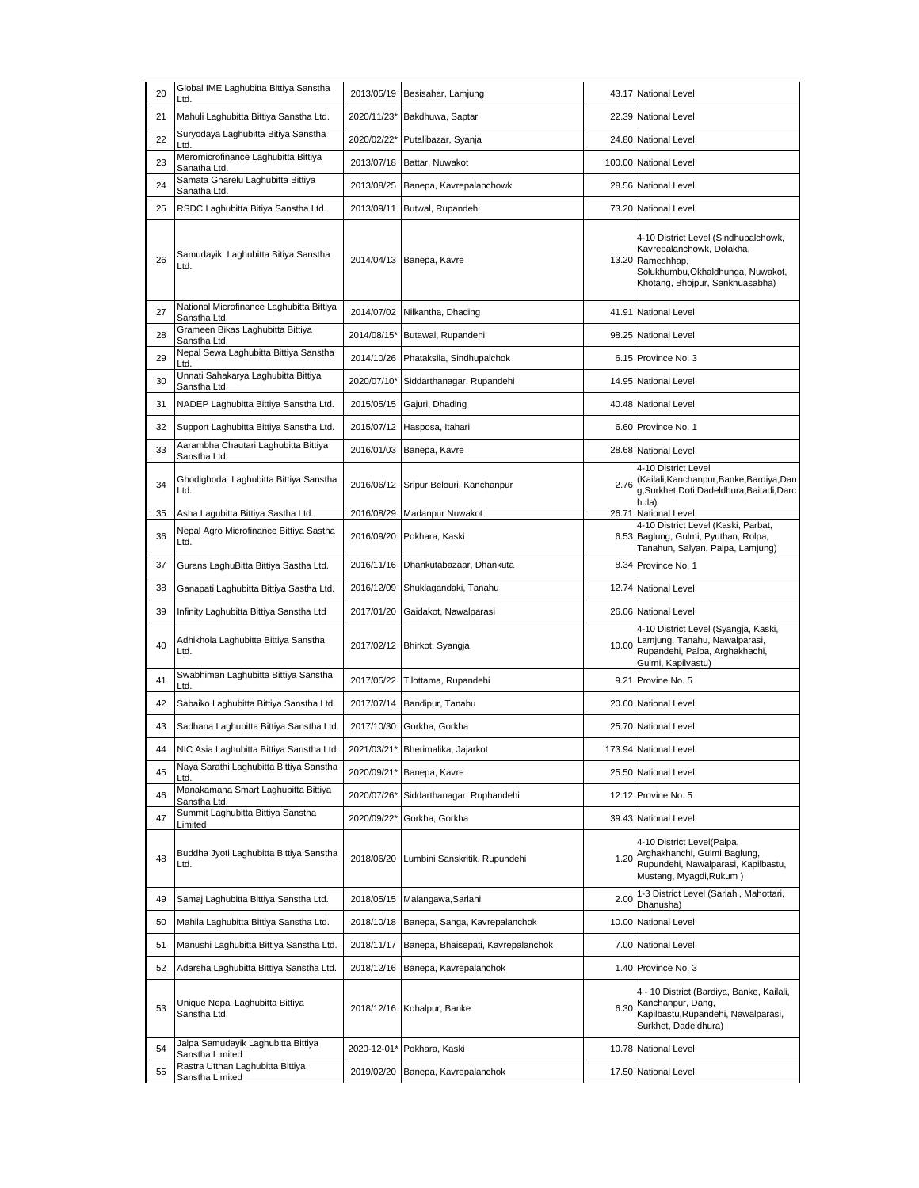| 20 | Global IME Laghubitta Bittiya Sanstha<br>Ltd.            | 2013/05/19  | Besisahar, Lamjung                    |       | 43.17 National Level                                                                                                                                          |
|----|----------------------------------------------------------|-------------|---------------------------------------|-------|---------------------------------------------------------------------------------------------------------------------------------------------------------------|
| 21 | Mahuli Laghubitta Bittiya Sanstha Ltd.                   |             | 2020/11/23* Bakdhuwa, Saptari         |       | 22.39 National Level                                                                                                                                          |
| 22 | Suryodaya Laghubitta Bitiya Sanstha<br>Ltd.              | 2020/02/22* | Putalibazar, Syanja                   |       | 24.80 National Level                                                                                                                                          |
| 23 | Meromicrofinance Laghubitta Bittiya<br>Sanatha Ltd.      | 2013/07/18  | Battar, Nuwakot                       |       | 100.00 National Level                                                                                                                                         |
| 24 | Samata Gharelu Laghubitta Bittiya<br>Sanatha Ltd.        | 2013/08/25  | Banepa, Kavrepalanchowk               |       | 28.56 National Level                                                                                                                                          |
| 25 | RSDC Laghubitta Bitiya Sanstha Ltd.                      | 2013/09/11  | Butwal, Rupandehi                     |       | 73.20 National Level                                                                                                                                          |
| 26 | Samudayik Laghubitta Bitiya Sanstha<br>Ltd.              |             | 2014/04/13 Banepa, Kavre              |       | 4-10 District Level (Sindhupalchowk,<br>Kavrepalanchowk, Dolakha,<br>13.20 Ramechhap,<br>Solukhumbu, Okhaldhunga, Nuwakot,<br>Khotang, Bhojpur, Sankhuasabha) |
| 27 | National Microfinance Laghubitta Bittiya<br>Sanstha Ltd. | 2014/07/02  | Nilkantha, Dhading                    |       | 41.91 National Level                                                                                                                                          |
| 28 | Grameen Bikas Laghubitta Bittiya<br>Sanstha Ltd.         |             | 2014/08/15* Butawal, Rupandehi        |       | 98.25 National Level                                                                                                                                          |
| 29 | Nepal Sewa Laghubitta Bittiya Sanstha<br>Ltd.            | 2014/10/26  | Phataksila, Sindhupalchok             |       | 6.15 Province No. 3                                                                                                                                           |
| 30 | Unnati Sahakarya Laghubitta Bittiya<br>Sanstha Ltd.      | 2020/07/10* | Siddarthanagar, Rupandehi             |       | 14.95 National Level                                                                                                                                          |
| 31 | NADEP Laghubitta Bittiya Sanstha Ltd.                    | 2015/05/15  | Gajuri, Dhading                       |       | 40.48 National Level                                                                                                                                          |
| 32 | Support Laghubitta Bittiya Sanstha Ltd.                  | 2015/07/12  | Hasposa, Itahari                      |       | 6.60 Province No. 1                                                                                                                                           |
| 33 | Aarambha Chautari Laghubitta Bittiya<br>Sanstha Ltd.     | 2016/01/03  | Banepa, Kavre                         |       | 28.68 National Level                                                                                                                                          |
| 34 | Ghodighoda Laghubitta Bittiya Sanstha<br>Ltd.            |             | 2016/06/12 Sripur Belouri, Kanchanpur | 2.76  | 4-10 District Level<br>(Kailali, Kanchanpur, Banke, Bardiya, Dan<br>g,Surkhet,Doti,Dadeldhura,Baitadi,Darc<br>hula)                                           |
| 35 | Asha Lagubitta Bittiya Sastha Ltd.                       | 2016/08/29  | Madanpur Nuwakot                      | 26.71 | <b>National Level</b>                                                                                                                                         |
| 36 | Nepal Agro Microfinance Bittiya Sastha<br>Ltd.           | 2016/09/20  | Pokhara, Kaski                        |       | 4-10 District Level (Kaski, Parbat,<br>6.53 Baglung, Gulmi, Pyuthan, Rolpa,<br>Tanahun, Salyan, Palpa, Lamjung)                                               |
| 37 | Gurans LaghuBitta Bittiya Sastha Ltd.                    | 2016/11/16  | Dhankutabazaar, Dhankuta              |       | 8.34 Province No. 1                                                                                                                                           |
| 38 | Ganapati Laghubitta Bittiya Sastha Ltd.                  | 2016/12/09  | Shuklagandaki, Tanahu                 |       | 12.74 National Level                                                                                                                                          |
| 39 | Infinity Laghubitta Bittiya Sanstha Ltd                  | 2017/01/20  | Gaidakot, Nawalparasi                 |       | 26.06 National Level                                                                                                                                          |
| 40 | Adhikhola Laghubitta Bittiya Sanstha<br>Ltd.             |             | 2017/02/12 Bhirkot, Syangja           | 10.00 | 4-10 District Level (Syangja, Kaski,<br>Lamjung, Tanahu, Nawalparasi,<br>Rupandehi, Palpa, Arghakhachi,<br>Gulmi, Kapilvastu)                                 |
| 41 | Swabhiman Laghubitta Bittiya Sanstha<br>Ltd.             | 2017/05/22  | Tilottama, Rupandehi                  |       | 9.21 Provine No. 5                                                                                                                                            |
| 42 | Sabaiko Laghubitta Bittiya Sanstha Ltd.                  |             | 2017/07/14 Bandipur, Tanahu           |       | 20.60 National Level                                                                                                                                          |
| 43 | Sadhana Laghubitta Bittiya Sanstha Ltd.                  | 2017/10/30  | Gorkha, Gorkha                        |       | 25.70 National Level                                                                                                                                          |
| 44 | NIC Asia Laghubitta Bittiya Sanstha Ltd.                 |             | 2021/03/21* Bherimalika, Jajarkot     |       | 173.94 National Level                                                                                                                                         |
| 45 | Naya Sarathi Laghubitta Bittiya Sanstha<br>Ltd           | 2020/09/21* | Banepa, Kavre                         |       | 25.50 National Level                                                                                                                                          |
| 46 | Manakamana Smart Laghubitta Bittiya<br>Sanstha Ltd.      | 2020/07/26* | Siddarthanagar, Ruphandehi            |       | 12.12 Provine No. 5                                                                                                                                           |
| 47 | Summit Laghubitta Bittiya Sanstha<br>Limited             | 2020/09/22* | Gorkha, Gorkha                        |       | 39.43 National Level                                                                                                                                          |
| 48 | Buddha Jyoti Laghubitta Bittiya Sanstha<br>Ltd.          | 2018/06/20  | Lumbini Sanskritik, Rupundehi         | 1.20  | 4-10 District Level(Palpa,<br>Arghakhanchi, Gulmi, Baglung,<br>Rupundehi, Nawalparasi, Kapilbastu,<br>Mustang, Myagdi, Rukum)                                 |
| 49 | Samaj Laghubitta Bittiya Sanstha Ltd.                    | 2018/05/15  | Malangawa, Sarlahi                    | 2.00  | 1-3 District Level (Sarlahi, Mahottari,<br>Dhanusha)                                                                                                          |
| 50 | Mahila Laghubitta Bittiya Sanstha Ltd.                   | 2018/10/18  | Banepa, Sanga, Kavrepalanchok         |       | 10.00 National Level                                                                                                                                          |
| 51 | Manushi Laghubitta Bittiya Sanstha Ltd.                  | 2018/11/17  | Banepa, Bhaisepati, Kavrepalanchok    |       | 7.00 National Level                                                                                                                                           |
| 52 | Adarsha Laghubitta Bittiya Sanstha Ltd.                  | 2018/12/16  | Banepa, Kavrepalanchok                |       | 1.40 Province No. 3                                                                                                                                           |
| 53 | Unique Nepal Laghubitta Bittiya<br>Sanstha Ltd.          | 2018/12/16  | Kohalpur, Banke                       | 6.30  | 4 - 10 District (Bardiya, Banke, Kailali,<br>Kanchanpur, Dang,<br>Kapilbastu, Rupandehi, Nawalparasi,<br>Surkhet, Dadeldhura)                                 |
| 54 | Jalpa Samudayik Laghubitta Bittiya<br>Sanstha Limited    | 2020-12-01* | Pokhara, Kaski                        |       | 10.78 National Level                                                                                                                                          |
| 55 | Rastra Utthan Laghubitta Bittiya<br>Sanstha Limited      | 2019/02/20  | Banepa, Kavrepalanchok                |       | 17.50 National Level                                                                                                                                          |